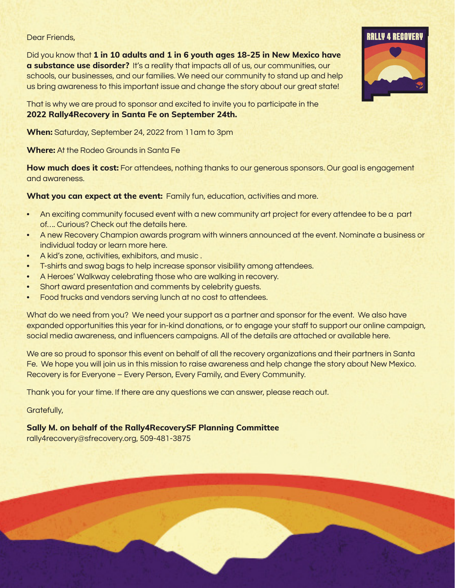#### Dear Friends,

Did you know that **1 in 10 adults and 1 in 6 youth ages 18-25 in New Mexico have a substance use disorder?** It's a reality that impacts all of us, our communities, our schools, our businesses, and our families. We need our community to stand up and help us bring awareness to this important issue and change the story about our great state!



**When:** Saturday, September 24, 2022 from 11am to 3pm

**Where:** At the Rodeo Grounds in Santa Fe

**How much does it cost:** For attendees, nothing thanks to our generous sponsors. Our goal is engagement and awareness.

**What you can expect at the event:** Family fun, education, activities and more.

- An exciting community focused event with a new community art project for every attendee to be a part of…. Curious? Check out the details here.
- A new Recovery Champion awards program with winners announced at the event. Nominate a business or individual today or learn more here.
- A kid's zone, activities, exhibitors, and music .
- T-shirts and swag bags to help increase sponsor visibility among attendees.
- A Heroes' Walkway celebrating those who are walking in recovery.
- Short award presentation and comments by celebrity guests.
- Food trucks and vendors serving lunch at no cost to attendees.

What do we need from you? We need your support as a partner and sponsor for the event. We also have expanded opportunities this year for in-kind donations, or to engage your staff to support our online campaign, social media awareness, and influencers campaigns. All of the details are attached or available here.

We are so proud to sponsor this event on behalf of all the recovery organizations and their partners in Santa Fe. We hope you will join us in this mission to raise awareness and help change the story about New Mexico. Recovery is for Everyone – Every Person, Every Family, and Every Community.

Thank you for your time. If there are any questions we can answer, please reach out.

Gratefully,

#### **Sally M. on behalf of the Rally4RecoverySF Planning Committee**

rally4recovery@sfrecovery.org, 509-481-3875